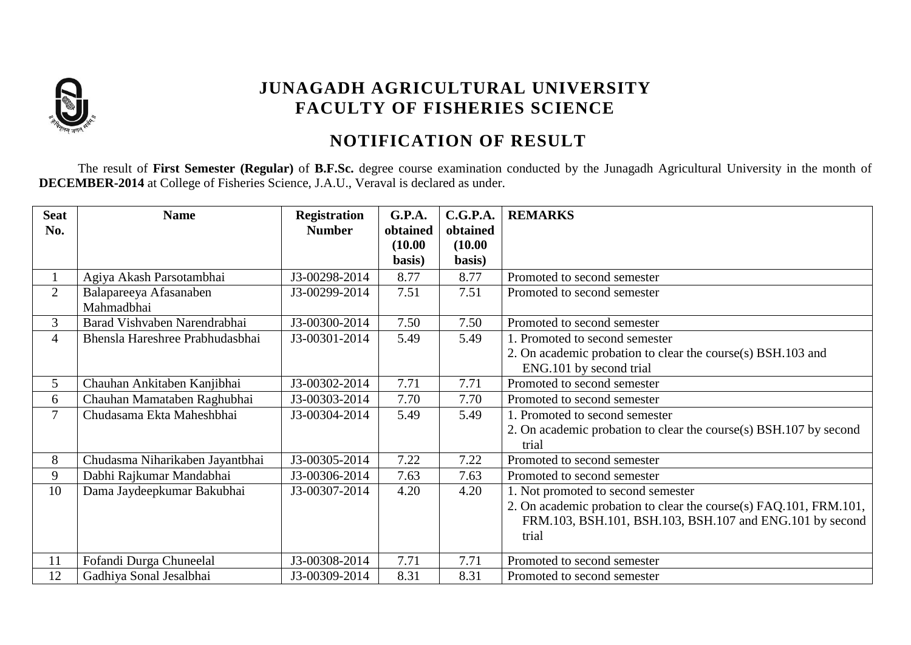

## **JUNAGADH AGRICULTURAL UNIVERSITY FACULTY OF FISHERIES SCIENCE**

## **NOTIFICATION OF RESULT**

The result of **First Semester (Regular)** of **B.F.Sc.** degree course examination conducted by the Junagadh Agricultural University in the month of **DECEMBER-2014** at College of Fisheries Science, J.A.U., Veraval is declared as under.

| <b>Seat</b>    | <b>Name</b>                     | <b>Registration</b> | <b>G.P.A.</b>     | C.G.P.A.          | <b>REMARKS</b>                                                    |
|----------------|---------------------------------|---------------------|-------------------|-------------------|-------------------------------------------------------------------|
| No.            |                                 | <b>Number</b>       | obtained          | obtained          |                                                                   |
|                |                                 |                     | (10.00)<br>basis) | (10.00)<br>basis) |                                                                   |
|                |                                 |                     |                   |                   |                                                                   |
|                | Agiya Akash Parsotambhai        | J3-00298-2014       | 8.77              | 8.77              | Promoted to second semester                                       |
| $\overline{2}$ | Balapareeya Afasanaben          | J3-00299-2014       | 7.51              | 7.51              | Promoted to second semester                                       |
|                | Mahmadbhai                      |                     |                   |                   |                                                                   |
| 3              | Barad Vishvaben Narendrabhai    | J3-00300-2014       | 7.50              | 7.50              | Promoted to second semester                                       |
| 4              | Bhensla Hareshree Prabhudasbhai | J3-00301-2014       | 5.49              | 5.49              | 1. Promoted to second semester                                    |
|                |                                 |                     |                   |                   | 2. On academic probation to clear the course(s) BSH.103 and       |
|                |                                 |                     |                   |                   | ENG.101 by second trial                                           |
| 5              | Chauhan Ankitaben Kanjibhai     | J3-00302-2014       | 7.71              | 7.71              | Promoted to second semester                                       |
| 6              | Chauhan Mamataben Raghubhai     | J3-00303-2014       | 7.70              | 7.70              | Promoted to second semester                                       |
| 7              | Chudasama Ekta Maheshbhai       | J3-00304-2014       | 5.49              | 5.49              | 1. Promoted to second semester                                    |
|                |                                 |                     |                   |                   | 2. On academic probation to clear the course(s) BSH.107 by second |
|                |                                 |                     |                   |                   | trial                                                             |
| 8              | Chudasma Niharikaben Jayantbhai | J3-00305-2014       | 7.22              | 7.22              | Promoted to second semester                                       |
| 9              | Dabhi Rajkumar Mandabhai        | J3-00306-2014       | 7.63              | 7.63              | Promoted to second semester                                       |
| 10             | Dama Jaydeepkumar Bakubhai      | J3-00307-2014       | 4.20              | 4.20              | 1. Not promoted to second semester                                |
|                |                                 |                     |                   |                   | 2. On academic probation to clear the course(s) FAQ.101, FRM.101, |
|                |                                 |                     |                   |                   | FRM.103, BSH.101, BSH.103, BSH.107 and ENG.101 by second          |
|                |                                 |                     |                   |                   | trial                                                             |
|                |                                 | J3-00308-2014       | 7.71              | 7.71              | Promoted to second semester                                       |
| 11             | Fofandi Durga Chuneelal         |                     |                   |                   |                                                                   |
| 12             | Gadhiya Sonal Jesalbhai         | J3-00309-2014       | 8.31              | 8.31              | Promoted to second semester                                       |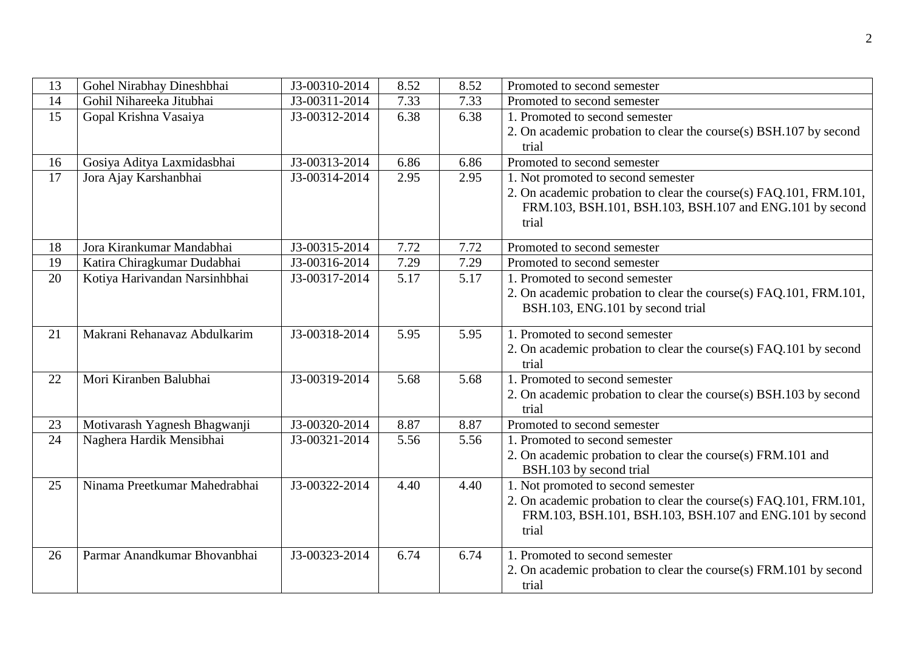| 14<br>Gohil Nihareeka Jitubhai<br>J3-00311-2014<br>7.33<br>7.33<br>Promoted to second semester<br>15<br>6.38<br>6.38<br>Gopal Krishna Vasaiya<br>1. Promoted to second semester<br>J3-00312-2014<br>2. On academic probation to clear the course(s) BSH.107 by second<br>trial<br>J3-00313-2014<br>Gosiya Aditya Laxmidasbhai<br>6.86<br>Promoted to second semester<br>16<br>6.86<br>17<br>2.95<br>2.95<br>1. Not promoted to second semester<br>Jora Ajay Karshanbhai<br>J3-00314-2014<br>2. On academic probation to clear the course(s) FAQ.101, FRM.101,<br>FRM.103, BSH.101, BSH.103, BSH.107 and ENG.101 by second<br>trial<br>Jora Kirankumar Mandabhai<br>J3-00315-2014<br>7.72<br>7.72<br>Promoted to second semester<br>18<br>19<br>Katira Chiragkumar Dudabhai<br>J3-00316-2014<br>7.29<br>7.29<br>Promoted to second semester<br>5.17<br>20<br>Kotiya Harivandan Narsinhbhai<br>5.17<br>J3-00317-2014<br>1. Promoted to second semester<br>2. On academic probation to clear the course(s) FAQ.101, FRM.101,<br>BSH.103, ENG.101 by second trial<br>Makrani Rehanavaz Abdulkarim<br>1. Promoted to second semester<br>21<br>J3-00318-2014<br>5.95<br>5.95<br>2. On academic probation to clear the course(s) FAQ.101 by second<br>trial<br>Mori Kiranben Balubhai<br>J3-00319-2014<br>1. Promoted to second semester<br>5.68<br>22<br>5.68<br>2. On academic probation to clear the course(s) BSH.103 by second<br>trial<br>J3-00320-2014<br>8.87<br>23<br>Motivarash Yagnesh Bhagwanji<br>8.87<br>Promoted to second semester<br>24<br>Naghera Hardik Mensibhai<br>J3-00321-2014<br>5.56<br>5.56<br>1. Promoted to second semester<br>2. On academic probation to clear the course(s) FRM.101 and<br>BSH.103 by second trial<br>25<br>Ninama Preetkumar Mahedrabhai<br>J3-00322-2014<br>4.40<br>4.40<br>1. Not promoted to second semester<br>2. On academic probation to clear the course(s) FAQ.101, FRM.101,<br>FRM.103, BSH.101, BSH.103, BSH.107 and ENG.101 by second<br>trial<br>Parmar Anandkumar Bhovanbhai<br>J3-00323-2014<br>26<br>6.74<br>6.74<br>1. Promoted to second semester<br>2. On academic probation to clear the course(s) FRM.101 by second | 13 | Gohel Nirabhay Dineshbhai | J3-00310-2014 | 8.52 | 8.52 | Promoted to second semester |
|----------------------------------------------------------------------------------------------------------------------------------------------------------------------------------------------------------------------------------------------------------------------------------------------------------------------------------------------------------------------------------------------------------------------------------------------------------------------------------------------------------------------------------------------------------------------------------------------------------------------------------------------------------------------------------------------------------------------------------------------------------------------------------------------------------------------------------------------------------------------------------------------------------------------------------------------------------------------------------------------------------------------------------------------------------------------------------------------------------------------------------------------------------------------------------------------------------------------------------------------------------------------------------------------------------------------------------------------------------------------------------------------------------------------------------------------------------------------------------------------------------------------------------------------------------------------------------------------------------------------------------------------------------------------------------------------------------------------------------------------------------------------------------------------------------------------------------------------------------------------------------------------------------------------------------------------------------------------------------------------------------------------------------------------------------------------------------------------------------------------------------------------------------------------------------|----|---------------------------|---------------|------|------|-----------------------------|
|                                                                                                                                                                                                                                                                                                                                                                                                                                                                                                                                                                                                                                                                                                                                                                                                                                                                                                                                                                                                                                                                                                                                                                                                                                                                                                                                                                                                                                                                                                                                                                                                                                                                                                                                                                                                                                                                                                                                                                                                                                                                                                                                                                                  |    |                           |               |      |      |                             |
|                                                                                                                                                                                                                                                                                                                                                                                                                                                                                                                                                                                                                                                                                                                                                                                                                                                                                                                                                                                                                                                                                                                                                                                                                                                                                                                                                                                                                                                                                                                                                                                                                                                                                                                                                                                                                                                                                                                                                                                                                                                                                                                                                                                  |    |                           |               |      |      |                             |
|                                                                                                                                                                                                                                                                                                                                                                                                                                                                                                                                                                                                                                                                                                                                                                                                                                                                                                                                                                                                                                                                                                                                                                                                                                                                                                                                                                                                                                                                                                                                                                                                                                                                                                                                                                                                                                                                                                                                                                                                                                                                                                                                                                                  |    |                           |               |      |      |                             |
|                                                                                                                                                                                                                                                                                                                                                                                                                                                                                                                                                                                                                                                                                                                                                                                                                                                                                                                                                                                                                                                                                                                                                                                                                                                                                                                                                                                                                                                                                                                                                                                                                                                                                                                                                                                                                                                                                                                                                                                                                                                                                                                                                                                  |    |                           |               |      |      |                             |
|                                                                                                                                                                                                                                                                                                                                                                                                                                                                                                                                                                                                                                                                                                                                                                                                                                                                                                                                                                                                                                                                                                                                                                                                                                                                                                                                                                                                                                                                                                                                                                                                                                                                                                                                                                                                                                                                                                                                                                                                                                                                                                                                                                                  |    |                           |               |      |      |                             |
|                                                                                                                                                                                                                                                                                                                                                                                                                                                                                                                                                                                                                                                                                                                                                                                                                                                                                                                                                                                                                                                                                                                                                                                                                                                                                                                                                                                                                                                                                                                                                                                                                                                                                                                                                                                                                                                                                                                                                                                                                                                                                                                                                                                  |    |                           |               |      |      |                             |
|                                                                                                                                                                                                                                                                                                                                                                                                                                                                                                                                                                                                                                                                                                                                                                                                                                                                                                                                                                                                                                                                                                                                                                                                                                                                                                                                                                                                                                                                                                                                                                                                                                                                                                                                                                                                                                                                                                                                                                                                                                                                                                                                                                                  |    |                           |               |      |      |                             |
|                                                                                                                                                                                                                                                                                                                                                                                                                                                                                                                                                                                                                                                                                                                                                                                                                                                                                                                                                                                                                                                                                                                                                                                                                                                                                                                                                                                                                                                                                                                                                                                                                                                                                                                                                                                                                                                                                                                                                                                                                                                                                                                                                                                  |    |                           |               |      |      |                             |
|                                                                                                                                                                                                                                                                                                                                                                                                                                                                                                                                                                                                                                                                                                                                                                                                                                                                                                                                                                                                                                                                                                                                                                                                                                                                                                                                                                                                                                                                                                                                                                                                                                                                                                                                                                                                                                                                                                                                                                                                                                                                                                                                                                                  |    |                           |               |      |      |                             |
|                                                                                                                                                                                                                                                                                                                                                                                                                                                                                                                                                                                                                                                                                                                                                                                                                                                                                                                                                                                                                                                                                                                                                                                                                                                                                                                                                                                                                                                                                                                                                                                                                                                                                                                                                                                                                                                                                                                                                                                                                                                                                                                                                                                  |    |                           |               |      |      |                             |
|                                                                                                                                                                                                                                                                                                                                                                                                                                                                                                                                                                                                                                                                                                                                                                                                                                                                                                                                                                                                                                                                                                                                                                                                                                                                                                                                                                                                                                                                                                                                                                                                                                                                                                                                                                                                                                                                                                                                                                                                                                                                                                                                                                                  |    |                           |               |      |      |                             |
|                                                                                                                                                                                                                                                                                                                                                                                                                                                                                                                                                                                                                                                                                                                                                                                                                                                                                                                                                                                                                                                                                                                                                                                                                                                                                                                                                                                                                                                                                                                                                                                                                                                                                                                                                                                                                                                                                                                                                                                                                                                                                                                                                                                  |    |                           |               |      |      |                             |
|                                                                                                                                                                                                                                                                                                                                                                                                                                                                                                                                                                                                                                                                                                                                                                                                                                                                                                                                                                                                                                                                                                                                                                                                                                                                                                                                                                                                                                                                                                                                                                                                                                                                                                                                                                                                                                                                                                                                                                                                                                                                                                                                                                                  |    |                           |               |      |      |                             |
|                                                                                                                                                                                                                                                                                                                                                                                                                                                                                                                                                                                                                                                                                                                                                                                                                                                                                                                                                                                                                                                                                                                                                                                                                                                                                                                                                                                                                                                                                                                                                                                                                                                                                                                                                                                                                                                                                                                                                                                                                                                                                                                                                                                  |    |                           |               |      |      |                             |
|                                                                                                                                                                                                                                                                                                                                                                                                                                                                                                                                                                                                                                                                                                                                                                                                                                                                                                                                                                                                                                                                                                                                                                                                                                                                                                                                                                                                                                                                                                                                                                                                                                                                                                                                                                                                                                                                                                                                                                                                                                                                                                                                                                                  |    |                           |               |      |      |                             |
|                                                                                                                                                                                                                                                                                                                                                                                                                                                                                                                                                                                                                                                                                                                                                                                                                                                                                                                                                                                                                                                                                                                                                                                                                                                                                                                                                                                                                                                                                                                                                                                                                                                                                                                                                                                                                                                                                                                                                                                                                                                                                                                                                                                  |    |                           |               |      |      |                             |
|                                                                                                                                                                                                                                                                                                                                                                                                                                                                                                                                                                                                                                                                                                                                                                                                                                                                                                                                                                                                                                                                                                                                                                                                                                                                                                                                                                                                                                                                                                                                                                                                                                                                                                                                                                                                                                                                                                                                                                                                                                                                                                                                                                                  |    |                           |               |      |      |                             |
|                                                                                                                                                                                                                                                                                                                                                                                                                                                                                                                                                                                                                                                                                                                                                                                                                                                                                                                                                                                                                                                                                                                                                                                                                                                                                                                                                                                                                                                                                                                                                                                                                                                                                                                                                                                                                                                                                                                                                                                                                                                                                                                                                                                  |    |                           |               |      |      |                             |
|                                                                                                                                                                                                                                                                                                                                                                                                                                                                                                                                                                                                                                                                                                                                                                                                                                                                                                                                                                                                                                                                                                                                                                                                                                                                                                                                                                                                                                                                                                                                                                                                                                                                                                                                                                                                                                                                                                                                                                                                                                                                                                                                                                                  |    |                           |               |      |      |                             |
|                                                                                                                                                                                                                                                                                                                                                                                                                                                                                                                                                                                                                                                                                                                                                                                                                                                                                                                                                                                                                                                                                                                                                                                                                                                                                                                                                                                                                                                                                                                                                                                                                                                                                                                                                                                                                                                                                                                                                                                                                                                                                                                                                                                  |    |                           |               |      |      |                             |
|                                                                                                                                                                                                                                                                                                                                                                                                                                                                                                                                                                                                                                                                                                                                                                                                                                                                                                                                                                                                                                                                                                                                                                                                                                                                                                                                                                                                                                                                                                                                                                                                                                                                                                                                                                                                                                                                                                                                                                                                                                                                                                                                                                                  |    |                           |               |      |      |                             |
|                                                                                                                                                                                                                                                                                                                                                                                                                                                                                                                                                                                                                                                                                                                                                                                                                                                                                                                                                                                                                                                                                                                                                                                                                                                                                                                                                                                                                                                                                                                                                                                                                                                                                                                                                                                                                                                                                                                                                                                                                                                                                                                                                                                  |    |                           |               |      |      |                             |
|                                                                                                                                                                                                                                                                                                                                                                                                                                                                                                                                                                                                                                                                                                                                                                                                                                                                                                                                                                                                                                                                                                                                                                                                                                                                                                                                                                                                                                                                                                                                                                                                                                                                                                                                                                                                                                                                                                                                                                                                                                                                                                                                                                                  |    |                           |               |      |      |                             |
|                                                                                                                                                                                                                                                                                                                                                                                                                                                                                                                                                                                                                                                                                                                                                                                                                                                                                                                                                                                                                                                                                                                                                                                                                                                                                                                                                                                                                                                                                                                                                                                                                                                                                                                                                                                                                                                                                                                                                                                                                                                                                                                                                                                  |    |                           |               |      |      |                             |
|                                                                                                                                                                                                                                                                                                                                                                                                                                                                                                                                                                                                                                                                                                                                                                                                                                                                                                                                                                                                                                                                                                                                                                                                                                                                                                                                                                                                                                                                                                                                                                                                                                                                                                                                                                                                                                                                                                                                                                                                                                                                                                                                                                                  |    |                           |               |      |      |                             |
|                                                                                                                                                                                                                                                                                                                                                                                                                                                                                                                                                                                                                                                                                                                                                                                                                                                                                                                                                                                                                                                                                                                                                                                                                                                                                                                                                                                                                                                                                                                                                                                                                                                                                                                                                                                                                                                                                                                                                                                                                                                                                                                                                                                  |    |                           |               |      |      |                             |
|                                                                                                                                                                                                                                                                                                                                                                                                                                                                                                                                                                                                                                                                                                                                                                                                                                                                                                                                                                                                                                                                                                                                                                                                                                                                                                                                                                                                                                                                                                                                                                                                                                                                                                                                                                                                                                                                                                                                                                                                                                                                                                                                                                                  |    |                           |               |      |      |                             |
|                                                                                                                                                                                                                                                                                                                                                                                                                                                                                                                                                                                                                                                                                                                                                                                                                                                                                                                                                                                                                                                                                                                                                                                                                                                                                                                                                                                                                                                                                                                                                                                                                                                                                                                                                                                                                                                                                                                                                                                                                                                                                                                                                                                  |    |                           |               |      |      |                             |
|                                                                                                                                                                                                                                                                                                                                                                                                                                                                                                                                                                                                                                                                                                                                                                                                                                                                                                                                                                                                                                                                                                                                                                                                                                                                                                                                                                                                                                                                                                                                                                                                                                                                                                                                                                                                                                                                                                                                                                                                                                                                                                                                                                                  |    |                           |               |      |      |                             |
|                                                                                                                                                                                                                                                                                                                                                                                                                                                                                                                                                                                                                                                                                                                                                                                                                                                                                                                                                                                                                                                                                                                                                                                                                                                                                                                                                                                                                                                                                                                                                                                                                                                                                                                                                                                                                                                                                                                                                                                                                                                                                                                                                                                  |    |                           |               |      |      | trial                       |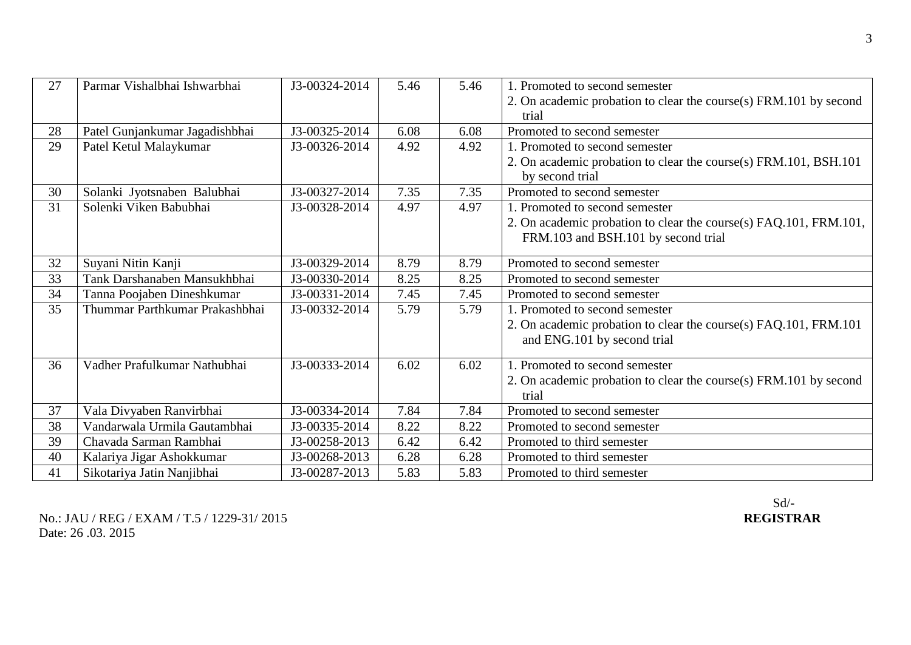| 27 | Parmar Vishalbhai Ishwarbhai   | J3-00324-2014 | 5.46 | 5.46 | 1. Promoted to second semester                                    |
|----|--------------------------------|---------------|------|------|-------------------------------------------------------------------|
|    |                                |               |      |      | 2. On academic probation to clear the course(s) FRM.101 by second |
|    |                                |               |      |      | trial                                                             |
| 28 | Patel Gunjankumar Jagadishbhai | J3-00325-2014 | 6.08 | 6.08 | Promoted to second semester                                       |
| 29 | Patel Ketul Malaykumar         | J3-00326-2014 | 4.92 | 4.92 | 1. Promoted to second semester                                    |
|    |                                |               |      |      | 2. On academic probation to clear the course(s) FRM.101, BSH.101  |
|    |                                |               |      |      | by second trial                                                   |
| 30 | Solanki Jyotsnaben Balubhai    | J3-00327-2014 | 7.35 | 7.35 | Promoted to second semester                                       |
| 31 | Solenki Viken Babubhai         | J3-00328-2014 | 4.97 | 4.97 | 1. Promoted to second semester                                    |
|    |                                |               |      |      | 2. On academic probation to clear the course(s) FAQ.101, FRM.101, |
|    |                                |               |      |      | FRM.103 and BSH.101 by second trial                               |
|    |                                |               |      |      |                                                                   |
| 32 | Suyani Nitin Kanji             | J3-00329-2014 | 8.79 | 8.79 | Promoted to second semester                                       |
| 33 | Tank Darshanaben Mansukhbhai   | J3-00330-2014 | 8.25 | 8.25 | Promoted to second semester                                       |
| 34 | Tanna Poojaben Dineshkumar     | J3-00331-2014 | 7.45 | 7.45 | Promoted to second semester                                       |
| 35 | Thummar Parthkumar Prakashbhai | J3-00332-2014 | 5.79 | 5.79 | 1. Promoted to second semester                                    |
|    |                                |               |      |      | 2. On academic probation to clear the course(s) FAQ.101, FRM.101  |
|    |                                |               |      |      | and ENG.101 by second trial                                       |
|    |                                |               |      |      |                                                                   |
| 36 | Vadher Prafulkumar Nathubhai   | J3-00333-2014 | 6.02 | 6.02 | 1. Promoted to second semester                                    |
|    |                                |               |      |      | 2. On academic probation to clear the course(s) FRM.101 by second |
|    |                                |               |      |      | trial                                                             |
| 37 | Vala Divyaben Ranvirbhai       | J3-00334-2014 | 7.84 | 7.84 | Promoted to second semester                                       |
| 38 | Vandarwala Urmila Gautambhai   | J3-00335-2014 | 8.22 | 8.22 | Promoted to second semester                                       |
| 39 | Chavada Sarman Rambhai         | J3-00258-2013 | 6.42 | 6.42 | Promoted to third semester                                        |
| 40 | Kalariya Jigar Ashokkumar      | J3-00268-2013 | 6.28 | 6.28 | Promoted to third semester                                        |
| 41 | Sikotariya Jatin Nanjibhai     | J3-00287-2013 | 5.83 | 5.83 | Promoted to third semester                                        |

No.: JAU / REG / EXAM / T.5 / 1229-31/ 2015 Date: 26 .03. 2015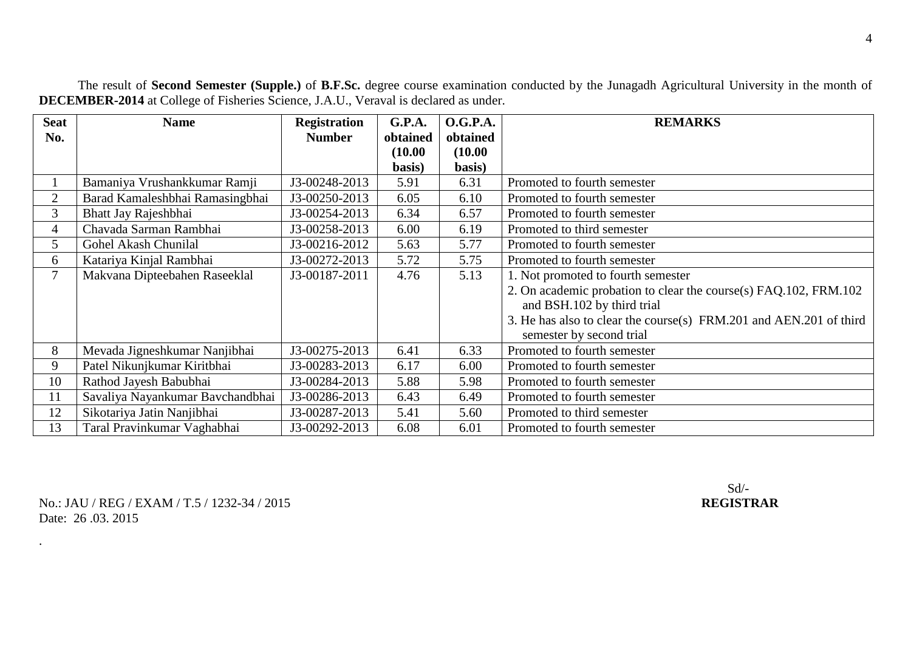**Seat No. Name Registration Number G.P.A. obtained (10.00 basis) O.G.P.A. obtained (10.00 basis) REMARKS** 1 Bamaniya Vrushankkumar Ramji J3-00248-2013 5.91 6.31 Promoted to fourth semester 2 Barad Kamaleshbhai Ramasingbhai 1 J3-00250-2013 6.05 6.10 Promoted to fourth semester 3 Bhatt Jay Rajeshbhai J3-00254-2013 6.34 6.57 Promoted to fourth semester 4 Chavada Sarman Rambhai J3-00258-2013 6.00 6.19 Promoted to third semester 5 Gohel Akash Chunilal J3-00216-2012 5.63 5.77 Promoted to fourth semester 6 Katariya Kinjal Rambhai J3-00272-2013 5.72 5.75 Promoted to fourth semester 7 Makvana Dipteebahen Raseeklal J3-00187-2011 4.76 5.13 1. Not promoted to fourth semester 2. On academic probation to clear the course(s) FAQ.102, FRM.102 and BSH.102 by third trial 3. He has also to clear the course(s) FRM.201 and AEN.201 of third semester by second trial 8 Mevada Jigneshkumar Nanjibhai J3-00275-2013 6.41 6.33 Promoted to fourth semester 9 Patel Nikunikumar Kiritbhai  $\vert$  J3-00283-2013  $\vert$  6.17  $\vert$  6.00 Promoted to fourth semester 10 Rathod Jayesh Babubhai 13-00284-2013 5.88 5.98 Promoted to fourth semester 11 Savaliya Nayankumar Bavchandbhai J3-00286-2013 6.43 6.49 Promoted to fourth semester 12 Sikotariya Jatin Nanjibhai 13-00287-2013 5.41 5.60 Promoted to third semester 13 Taral Pravinkumar Vaghabhai  $\vert$  J3-00292-2013 6.08 6.01 Promoted to fourth semester

The result of **Second Semester (Supple.)** of **B.F.Sc.** degree course examination conducted by the Junagadh Agricultural University in the month of **DECEMBER-2014** at College of Fisheries Science, J.A.U., Veraval is declared as under.

No.: JAU / REG / EXAM / T.5 / 1232-34 / 2015 **REGISTRAR** Date: 26 03 2015

.

Sd/-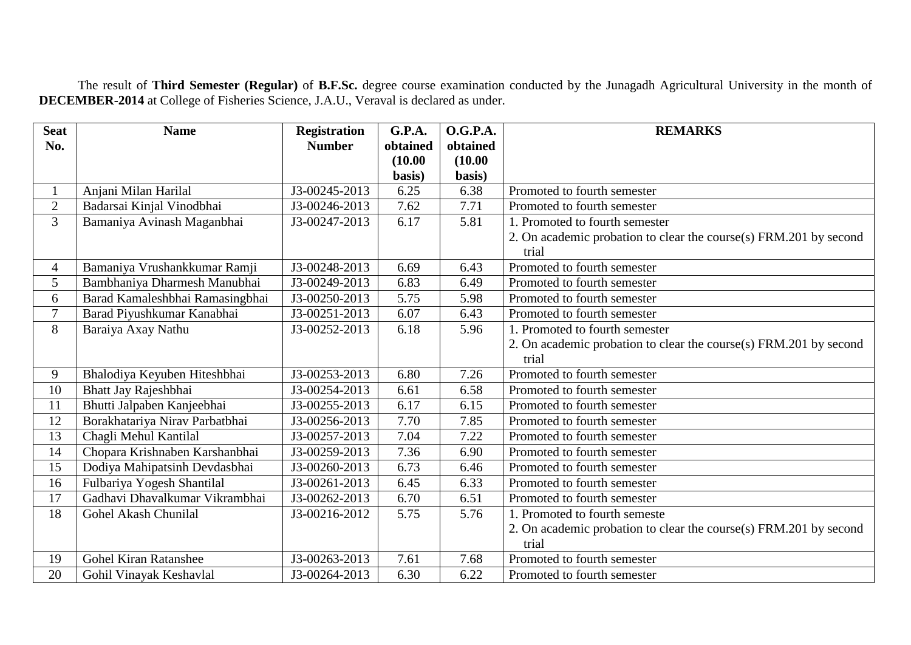The result of **Third Semester (Regular)** of **B.F.Sc.** degree course examination conducted by the Junagadh Agricultural University in the month of **DECEMBER-2014** at College of Fisheries Science, J.A.U., Veraval is declared as under.

| <b>Seat</b>    | <b>Name</b>                     | <b>Registration</b> | <b>G.P.A.</b> | <b>O.G.P.A.</b> | <b>REMARKS</b>                                                    |
|----------------|---------------------------------|---------------------|---------------|-----------------|-------------------------------------------------------------------|
| No.            |                                 | <b>Number</b>       | obtained      | obtained        |                                                                   |
|                |                                 |                     | (10.00)       | (10.00)         |                                                                   |
|                |                                 |                     | basis)        | basis)          |                                                                   |
|                | Anjani Milan Harilal            | J3-00245-2013       | 6.25          | 6.38            | Promoted to fourth semester                                       |
| $\overline{2}$ | Badarsai Kinjal Vinodbhai       | J3-00246-2013       | 7.62          | 7.71            | Promoted to fourth semester                                       |
| $\overline{3}$ | Bamaniya Avinash Maganbhai      | J3-00247-2013       | 6.17          | 5.81            | 1. Promoted to fourth semester                                    |
|                |                                 |                     |               |                 | 2. On academic probation to clear the course(s) FRM.201 by second |
|                |                                 |                     |               |                 | trial                                                             |
| $\overline{4}$ | Bamaniya Vrushankkumar Ramji    | J3-00248-2013       | 6.69          | 6.43            | Promoted to fourth semester                                       |
| 5              | Bambhaniya Dharmesh Manubhai    | J3-00249-2013       | 6.83          | 6.49            | Promoted to fourth semester                                       |
| 6              | Barad Kamaleshbhai Ramasingbhai | J3-00250-2013       | 5.75          | 5.98            | Promoted to fourth semester                                       |
| $\overline{7}$ | Barad Piyushkumar Kanabhai      | J3-00251-2013       | 6.07          | 6.43            | Promoted to fourth semester                                       |
| 8              | Baraiya Axay Nathu              | J3-00252-2013       | 6.18          | 5.96            | 1. Promoted to fourth semester                                    |
|                |                                 |                     |               |                 | 2. On academic probation to clear the course(s) FRM.201 by second |
|                |                                 |                     |               |                 | trial                                                             |
| 9              | Bhalodiya Keyuben Hiteshbhai    | J3-00253-2013       | 6.80          | 7.26            | Promoted to fourth semester                                       |
| 10             | Bhatt Jay Rajeshbhai            | J3-00254-2013       | 6.61          | 6.58            | Promoted to fourth semester                                       |
| 11             | Bhutti Jalpaben Kanjeebhai      | J3-00255-2013       | 6.17          | 6.15            | Promoted to fourth semester                                       |
| 12             | Borakhatariya Nirav Parbatbhai  | J3-00256-2013       | 7.70          | 7.85            | Promoted to fourth semester                                       |
| 13             | Chagli Mehul Kantilal           | J3-00257-2013       | 7.04          | 7.22            | Promoted to fourth semester                                       |
| 14             | Chopara Krishnaben Karshanbhai  | J3-00259-2013       | 7.36          | 6.90            | Promoted to fourth semester                                       |
| 15             | Dodiya Mahipatsinh Devdasbhai   | J3-00260-2013       | 6.73          | 6.46            | Promoted to fourth semester                                       |
| 16             | Fulbariya Yogesh Shantilal      | J3-00261-2013       | 6.45          | 6.33            | Promoted to fourth semester                                       |
| 17             | Gadhavi Dhavalkumar Vikrambhai  | J3-00262-2013       | 6.70          | 6.51            | Promoted to fourth semester                                       |
| 18             | Gohel Akash Chunilal            | J3-00216-2012       | 5.75          | 5.76            | 1. Promoted to fourth semeste                                     |
|                |                                 |                     |               |                 | 2. On academic probation to clear the course(s) FRM.201 by second |
|                |                                 |                     |               |                 | trial                                                             |
| 19             | <b>Gohel Kiran Ratanshee</b>    | J3-00263-2013       | 7.61          | 7.68            | Promoted to fourth semester                                       |
| 20             | Gohil Vinayak Keshavlal         | J3-00264-2013       | 6.30          | 6.22            | Promoted to fourth semester                                       |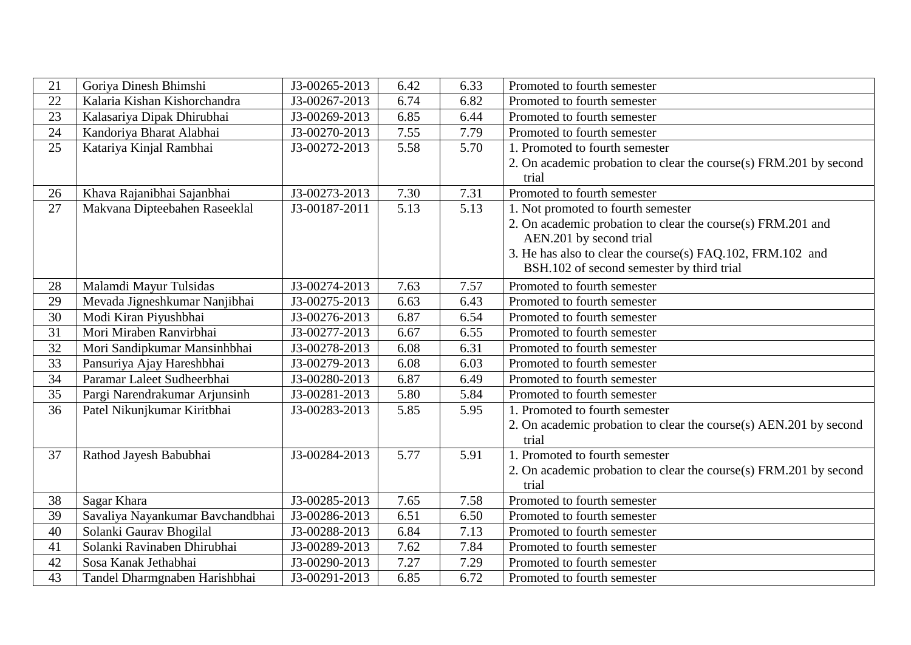| 21              | Goriya Dinesh Bhimshi            | J3-00265-2013 | 6.42 | 6.33 | Promoted to fourth semester                                                |
|-----------------|----------------------------------|---------------|------|------|----------------------------------------------------------------------------|
| 22              | Kalaria Kishan Kishorchandra     | J3-00267-2013 | 6.74 | 6.82 | Promoted to fourth semester                                                |
| 23              | Kalasariya Dipak Dhirubhai       | J3-00269-2013 | 6.85 | 6.44 | Promoted to fourth semester                                                |
| 24              | Kandoriya Bharat Alabhai         | J3-00270-2013 | 7.55 | 7.79 | Promoted to fourth semester                                                |
| 25              | Katariya Kinjal Rambhai          | J3-00272-2013 | 5.58 | 5.70 | 1. Promoted to fourth semester                                             |
|                 |                                  |               |      |      | 2. On academic probation to clear the course(s) FRM.201 by second<br>trial |
| 26              | Khava Rajanibhai Sajanbhai       | J3-00273-2013 | 7.30 | 7.31 | Promoted to fourth semester                                                |
| 27              | Makvana Dipteebahen Raseeklal    | J3-00187-2011 | 5.13 | 5.13 | 1. Not promoted to fourth semester                                         |
|                 |                                  |               |      |      | 2. On academic probation to clear the course(s) FRM.201 and                |
|                 |                                  |               |      |      | AEN.201 by second trial                                                    |
|                 |                                  |               |      |      | 3. He has also to clear the course(s) FAQ.102, FRM.102 and                 |
|                 |                                  |               |      |      | BSH.102 of second semester by third trial                                  |
| 28              | Malamdi Mayur Tulsidas           | J3-00274-2013 | 7.63 | 7.57 | Promoted to fourth semester                                                |
| 29              | Mevada Jigneshkumar Nanjibhai    | J3-00275-2013 | 6.63 | 6.43 | Promoted to fourth semester                                                |
| 30              | Modi Kiran Piyushbhai            | J3-00276-2013 | 6.87 | 6.54 | Promoted to fourth semester                                                |
| 31              | Mori Miraben Ranvirbhai          | J3-00277-2013 | 6.67 | 6.55 | Promoted to fourth semester                                                |
| 32              | Mori Sandipkumar Mansinhbhai     | J3-00278-2013 | 6.08 | 6.31 | Promoted to fourth semester                                                |
| $\overline{33}$ | Pansuriya Ajay Hareshbhai        | J3-00279-2013 | 6.08 | 6.03 | Promoted to fourth semester                                                |
| 34              | Paramar Laleet Sudheerbhai       | J3-00280-2013 | 6.87 | 6.49 | Promoted to fourth semester                                                |
| $\overline{35}$ | Pargi Narendrakumar Arjunsinh    | J3-00281-2013 | 5.80 | 5.84 | Promoted to fourth semester                                                |
| 36              | Patel Nikunjkumar Kiritbhai      | J3-00283-2013 | 5.85 | 5.95 | 1. Promoted to fourth semester                                             |
|                 |                                  |               |      |      | 2. On academic probation to clear the course(s) AEN.201 by second          |
|                 |                                  |               |      |      | trial                                                                      |
| 37              | Rathod Jayesh Babubhai           | J3-00284-2013 | 5.77 | 5.91 | 1. Promoted to fourth semester                                             |
|                 |                                  |               |      |      | 2. On academic probation to clear the course(s) FRM.201 by second          |
|                 |                                  |               |      |      | trial                                                                      |
| 38              | Sagar Khara                      | J3-00285-2013 | 7.65 | 7.58 | Promoted to fourth semester                                                |
| $\overline{39}$ | Savaliya Nayankumar Bavchandbhai | J3-00286-2013 | 6.51 | 6.50 | Promoted to fourth semester                                                |
| 40              | Solanki Gaurav Bhogilal          | J3-00288-2013 | 6.84 | 7.13 | Promoted to fourth semester                                                |
| 41              | Solanki Ravinaben Dhirubhai      | J3-00289-2013 | 7.62 | 7.84 | Promoted to fourth semester                                                |
| 42              | Sosa Kanak Jethabhai             | J3-00290-2013 | 7.27 | 7.29 | Promoted to fourth semester                                                |
| 43              | Tandel Dharmgnaben Harishbhai    | J3-00291-2013 | 6.85 | 6.72 | Promoted to fourth semester                                                |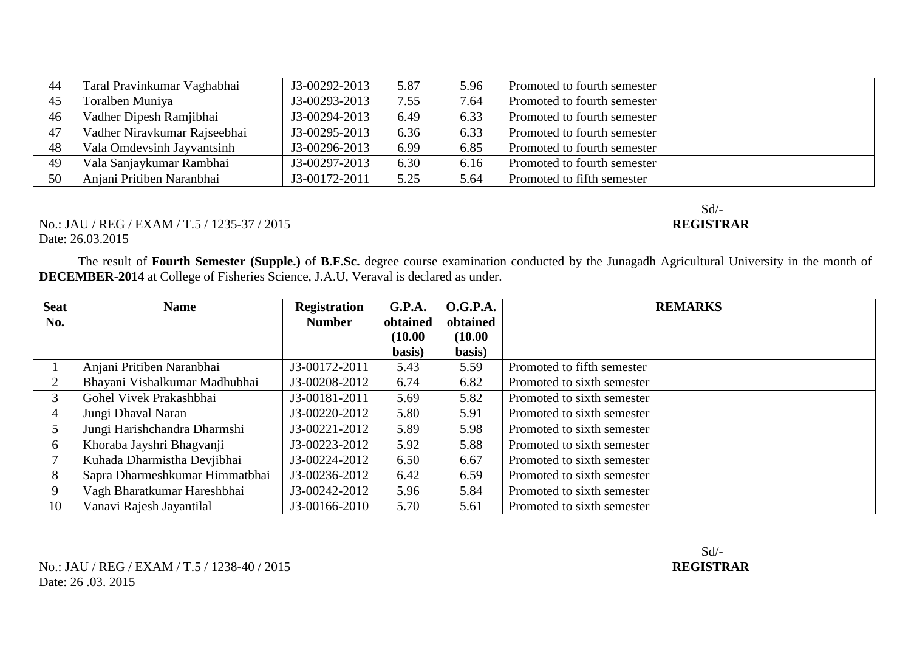| 44 | Taral Pravinkumar Vaghabhai  | J3-00292-2013 | 5.87 | 5.96 | Promoted to fourth semester |
|----|------------------------------|---------------|------|------|-----------------------------|
| 45 | Toralben Muniya              | J3-00293-2013 | 7.55 | 7.64 | Promoted to fourth semester |
| 46 | Vadher Dipesh Ramjibhai      | J3-00294-2013 | 6.49 | 6.33 | Promoted to fourth semester |
| 47 | Vadher Niravkumar Rajseebhai | J3-00295-2013 | 6.36 | 6.33 | Promoted to fourth semester |
| 48 | Vala Omdevsinh Jayvantsinh   | J3-00296-2013 | 6.99 | 6.85 | Promoted to fourth semester |
| 49 | Vala Sanjaykumar Rambhai     | J3-00297-2013 | 6.30 | 6.16 | Promoted to fourth semester |
| 50 | Anjani Pritiben Naranbhai    | J3-00172-2011 | 5.25 | 5.64 | Promoted to fifth semester  |

## No.: JAU / REG / EXAM / T.5 / 1235-37 / 2015 Date: 26.03.2015

The result of **Fourth Semester (Supple.)** of **B.F.Sc.** degree course examination conducted by the Junagadh Agricultural University in the month of **DECEMBER-2014** at College of Fisheries Science, J.A.U, Veraval is declared as under.

| <b>Seat</b>    | <b>Name</b>                    | <b>Registration</b> | G.P.A.   | O.G.P.A. | <b>REMARKS</b>             |
|----------------|--------------------------------|---------------------|----------|----------|----------------------------|
| No.            |                                | <b>Number</b>       | obtained | obtained |                            |
|                |                                |                     | (10.00)  | (10.00)  |                            |
|                |                                |                     | basis)   | basis)   |                            |
|                | Anjani Pritiben Naranbhai      | J3-00172-2011       | 5.43     | 5.59     | Promoted to fifth semester |
| $\overline{2}$ | Bhayani Vishalkumar Madhubhai  | J3-00208-2012       | 6.74     | 6.82     | Promoted to sixth semester |
| 3              | Gohel Vivek Prakashbhai        | J3-00181-2011       | 5.69     | 5.82     | Promoted to sixth semester |
| $\overline{4}$ | Jungi Dhaval Naran             | J3-00220-2012       | 5.80     | 5.91     | Promoted to sixth semester |
|                | Jungi Harishchandra Dharmshi   | J3-00221-2012       | 5.89     | 5.98     | Promoted to sixth semester |
| 6              | Khoraba Jayshri Bhagvanji      | J3-00223-2012       | 5.92     | 5.88     | Promoted to sixth semester |
|                | Kuhada Dharmistha Devjibhai    | J3-00224-2012       | 6.50     | 6.67     | Promoted to sixth semester |
| 8              | Sapra Dharmeshkumar Himmatbhai | J3-00236-2012       | 6.42     | 6.59     | Promoted to sixth semester |
| 9              | Vagh Bharatkumar Hareshbhai    | J3-00242-2012       | 5.96     | 5.84     | Promoted to sixth semester |
| 10             | Vanavi Rajesh Jayantilal       | J3-00166-2010       | 5.70     | 5.61     | Promoted to sixth semester |

## Sd/-<br>REGISTRAR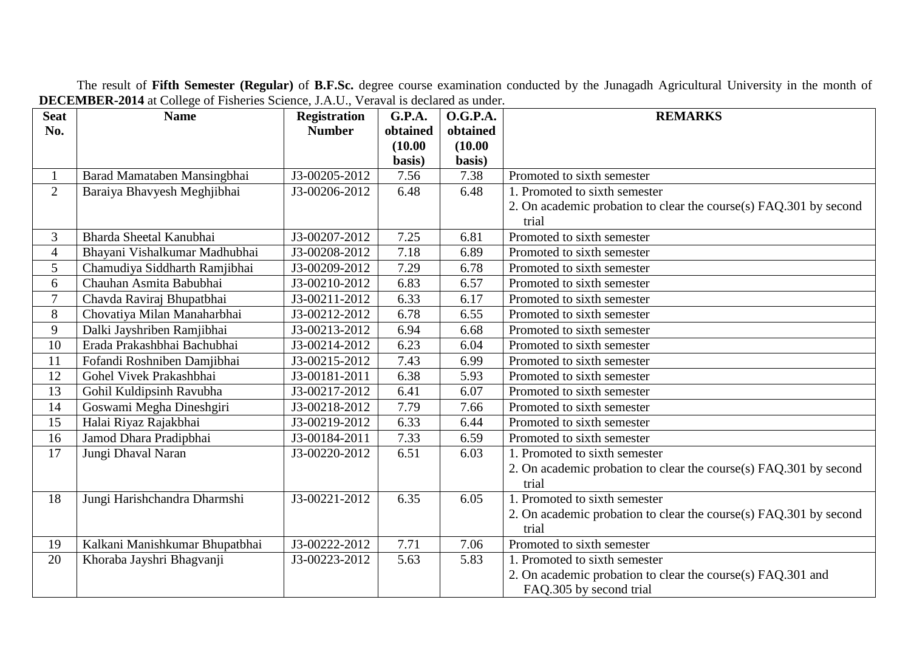The result of **Fifth Semester (Regular)** of **B.F.Sc.** degree course examination conducted by the Junagadh Agricultural University in the month of **DECEMBER-2014** at College of Fisheries Science, J.A.U., Veraval is declared as under.

| <b>Seat</b>    | <b>Name</b>                    | <b>Registration</b> | <b>G.P.A.</b> | <b>O.G.P.A.</b> | <b>REMARKS</b>                                                    |
|----------------|--------------------------------|---------------------|---------------|-----------------|-------------------------------------------------------------------|
| No.            |                                | <b>Number</b>       | obtained      | obtained        |                                                                   |
|                |                                |                     | (10.00)       | (10.00)         |                                                                   |
|                |                                |                     | basis)        | basis)          |                                                                   |
|                | Barad Mamataben Mansingbhai    | J3-00205-2012       | 7.56          | 7.38            | Promoted to sixth semester                                        |
| 2              | Baraiya Bhavyesh Meghjibhai    | J3-00206-2012       | 6.48          | 6.48            | 1. Promoted to sixth semester                                     |
|                |                                |                     |               |                 | 2. On academic probation to clear the course(s) FAQ.301 by second |
|                |                                |                     |               |                 | trial                                                             |
| 3              | Bharda Sheetal Kanubhai        | J3-00207-2012       | 7.25          | 6.81            | Promoted to sixth semester                                        |
| $\overline{4}$ | Bhayani Vishalkumar Madhubhai  | J3-00208-2012       | 7.18          | 6.89            | Promoted to sixth semester                                        |
| 5              | Chamudiya Siddharth Ramjibhai  | J3-00209-2012       | 7.29          | 6.78            | Promoted to sixth semester                                        |
| 6              | Chauhan Asmita Babubhai        | J3-00210-2012       | 6.83          | 6.57            | Promoted to sixth semester                                        |
| $\overline{7}$ | Chavda Raviraj Bhupatbhai      | J3-00211-2012       | 6.33          | 6.17            | Promoted to sixth semester                                        |
| 8              | Chovatiya Milan Manaharbhai    | J3-00212-2012       | 6.78          | 6.55            | Promoted to sixth semester                                        |
| 9              | Dalki Jayshriben Ramjibhai     | J3-00213-2012       | 6.94          | 6.68            | Promoted to sixth semester                                        |
| 10             | Erada Prakashbhai Bachubhai    | J3-00214-2012       | 6.23          | 6.04            | Promoted to sixth semester                                        |
| 11             | Fofandi Roshniben Damjibhai    | J3-00215-2012       | 7.43          | 6.99            | Promoted to sixth semester                                        |
| 12             | Gohel Vivek Prakashbhai        | J3-00181-2011       | 6.38          | 5.93            | Promoted to sixth semester                                        |
| 13             | Gohil Kuldipsinh Ravubha       | J3-00217-2012       | 6.41          | 6.07            | Promoted to sixth semester                                        |
| 14             | Goswami Megha Dineshgiri       | J3-00218-2012       | 7.79          | 7.66            | Promoted to sixth semester                                        |
| 15             | Halai Riyaz Rajakbhai          | J3-00219-2012       | 6.33          | 6.44            | Promoted to sixth semester                                        |
| 16             | Jamod Dhara Pradipbhai         | J3-00184-2011       | 7.33          | 6.59            | Promoted to sixth semester                                        |
| 17             | Jungi Dhaval Naran             | J3-00220-2012       | 6.51          | 6.03            | 1. Promoted to sixth semester                                     |
|                |                                |                     |               |                 | 2. On academic probation to clear the course(s) FAQ.301 by second |
|                |                                |                     |               |                 | trial                                                             |
| 18             | Jungi Harishchandra Dharmshi   | J3-00221-2012       | 6.35          | 6.05            | Promoted to sixth semester                                        |
|                |                                |                     |               |                 | 2. On academic probation to clear the course(s) FAQ.301 by second |
|                |                                |                     |               |                 | trial                                                             |
| 19             | Kalkani Manishkumar Bhupatbhai | J3-00222-2012       | 7.71          | 7.06            | Promoted to sixth semester                                        |
| 20             | Khoraba Jayshri Bhagvanji      | J3-00223-2012       | 5.63          | 5.83            | 1. Promoted to sixth semester                                     |
|                |                                |                     |               |                 | 2. On academic probation to clear the course(s) FAQ.301 and       |
|                |                                |                     |               |                 | FAQ.305 by second trial                                           |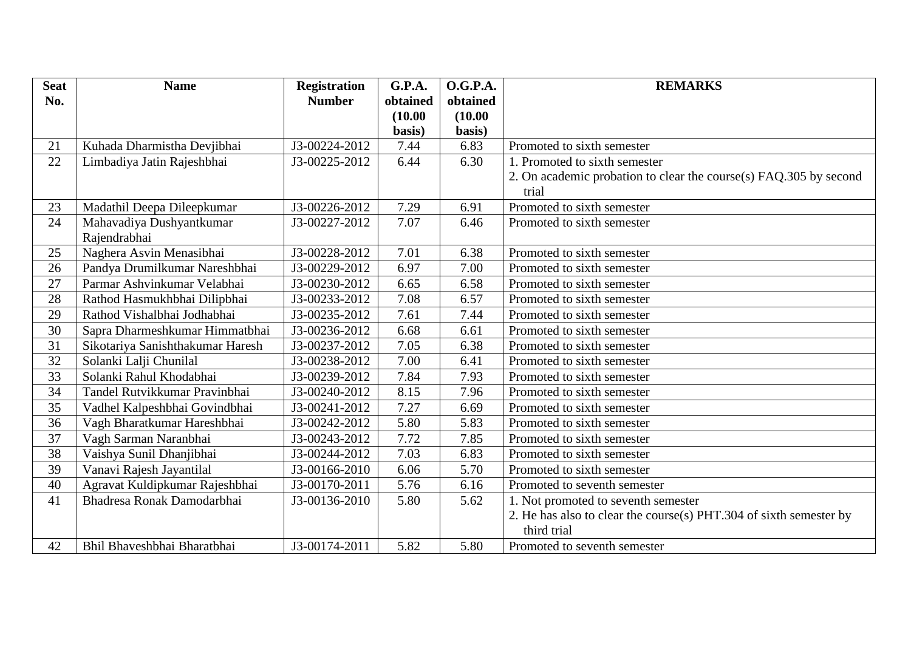| <b>Seat</b> | <b>Name</b>                      | <b>Registration</b> | G.P.A.   | <b>O.G.P.A.</b> | <b>REMARKS</b>                                                             |
|-------------|----------------------------------|---------------------|----------|-----------------|----------------------------------------------------------------------------|
| No.         |                                  | <b>Number</b>       | obtained | obtained        |                                                                            |
|             |                                  |                     | (10.00)  | (10.00)         |                                                                            |
|             |                                  |                     | basis)   | basis)          |                                                                            |
| 21          | Kuhada Dharmistha Devjibhai      | J3-00224-2012       | 7.44     | 6.83            | Promoted to sixth semester                                                 |
| 22          | Limbadiya Jatin Rajeshbhai       | J3-00225-2012       | 6.44     | 6.30            | 1. Promoted to sixth semester                                              |
|             |                                  |                     |          |                 | 2. On academic probation to clear the course(s) FAQ.305 by second<br>trial |
| 23          | Madathil Deepa Dileepkumar       | J3-00226-2012       | 7.29     | 6.91            | Promoted to sixth semester                                                 |
| 24          | Mahavadiya Dushyantkumar         | J3-00227-2012       | 7.07     | 6.46            | Promoted to sixth semester                                                 |
|             | Rajendrabhai                     |                     |          |                 |                                                                            |
| 25          | Naghera Asvin Menasibhai         | J3-00228-2012       | 7.01     | 6.38            | Promoted to sixth semester                                                 |
| 26          | Pandya Drumilkumar Nareshbhai    | J3-00229-2012       | 6.97     | 7.00            | Promoted to sixth semester                                                 |
| 27          | Parmar Ashvinkumar Velabhai      | J3-00230-2012       | 6.65     | 6.58            | Promoted to sixth semester                                                 |
| 28          | Rathod Hasmukhbhai Dilipbhai     | J3-00233-2012       | 7.08     | 6.57            | Promoted to sixth semester                                                 |
| 29          | Rathod Vishalbhai Jodhabhai      | J3-00235-2012       | 7.61     | 7.44            | Promoted to sixth semester                                                 |
| 30          | Sapra Dharmeshkumar Himmatbhai   | J3-00236-2012       | 6.68     | 6.61            | Promoted to sixth semester                                                 |
| 31          | Sikotariya Sanishthakumar Haresh | J3-00237-2012       | 7.05     | 6.38            | Promoted to sixth semester                                                 |
| 32          | Solanki Lalji Chunilal           | J3-00238-2012       | 7.00     | 6.41            | Promoted to sixth semester                                                 |
| 33          | Solanki Rahul Khodabhai          | J3-00239-2012       | 7.84     | 7.93            | Promoted to sixth semester                                                 |
| 34          | Tandel Rutvikkumar Pravinbhai    | J3-00240-2012       | 8.15     | 7.96            | Promoted to sixth semester                                                 |
| 35          | Vadhel Kalpeshbhai Govindbhai    | J3-00241-2012       | 7.27     | 6.69            | Promoted to sixth semester                                                 |
| 36          | Vagh Bharatkumar Hareshbhai      | J3-00242-2012       | 5.80     | 5.83            | Promoted to sixth semester                                                 |
| 37          | Vagh Sarman Naranbhai            | J3-00243-2012       | 7.72     | 7.85            | Promoted to sixth semester                                                 |
| 38          | Vaishya Sunil Dhanjibhai         | J3-00244-2012       | 7.03     | 6.83            | Promoted to sixth semester                                                 |
| 39          | Vanavi Rajesh Jayantilal         | J3-00166-2010       | 6.06     | 5.70            | Promoted to sixth semester                                                 |
| 40          | Agravat Kuldipkumar Rajeshbhai   | J3-00170-2011       | 5.76     | 6.16            | Promoted to seventh semester                                               |
| 41          | Bhadresa Ronak Damodarbhai       | J3-00136-2010       | 5.80     | 5.62            | 1. Not promoted to seventh semester                                        |
|             |                                  |                     |          |                 | 2. He has also to clear the course(s) PHT.304 of sixth semester by         |
|             |                                  |                     |          |                 | third trial                                                                |
| 42          | Bhil Bhaveshbhai Bharatbhai      | J3-00174-2011       | 5.82     | 5.80            | Promoted to seventh semester                                               |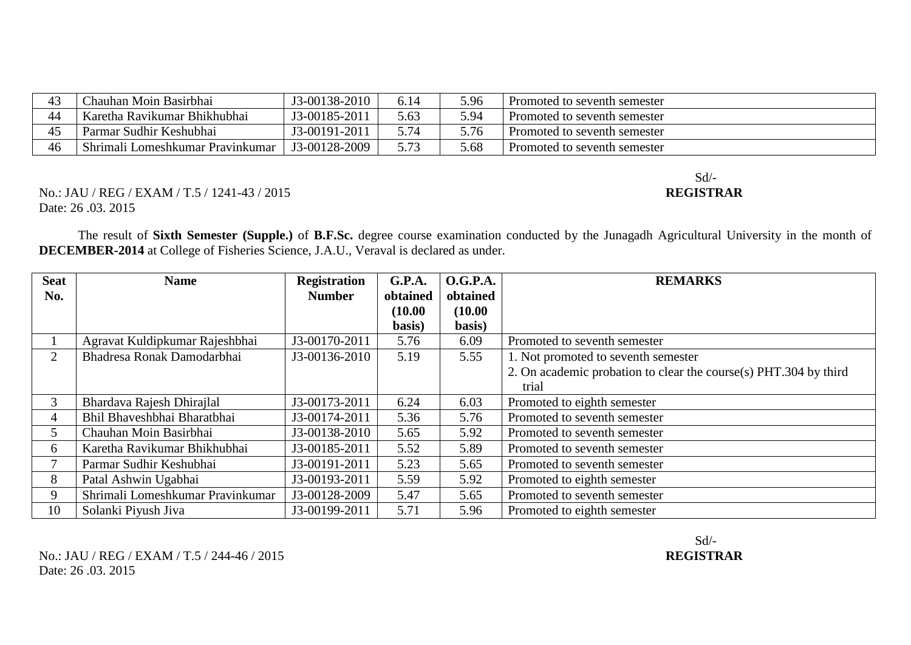| 43                   | Chauhan Moin Basirbhai           | J3-00138-2010 | 6.14 | 5.96 | Promoted to seventh semester |
|----------------------|----------------------------------|---------------|------|------|------------------------------|
| 44                   | Karetha Ravikumar Bhikhubhai     | J3-00185-2011 | 5.63 | 5.94 | Promoted to seventh semester |
| $\overline{ }$<br>⊿~ | Parmar Sudhir Keshubhai          | J3-00191-2011 | , 74 | 5.76 | Promoted to seventh semester |
| 46                   | Shrimali Lomeshkumar Pravinkumar | J3-00128-2009 |      | 5.68 | Promoted to seventh semester |

Sd/-

No.: JAU / REG / EXAM / T.5 / 1241-43 / 2015 **REGISTRAR** Date: 26 .03. 2015

The result of **Sixth Semester (Supple.)** of **B.F.Sc.** degree course examination conducted by the Junagadh Agricultural University in the month of **DECEMBER-2014** at College of Fisheries Science, J.A.U., Veraval is declared as under.

| <b>Seat</b>    | <b>Name</b>                      | <b>Registration</b> | <b>G.P.A.</b> | <b>O.G.P.A.</b> | <b>REMARKS</b>                                                   |
|----------------|----------------------------------|---------------------|---------------|-----------------|------------------------------------------------------------------|
| No.            |                                  | <b>Number</b>       | obtained      | obtained        |                                                                  |
|                |                                  |                     | (10.00)       | (10.00)         |                                                                  |
|                |                                  |                     | basis)        | basis)          |                                                                  |
|                | Agravat Kuldipkumar Rajeshbhai   | J3-00170-2011       | 5.76          | 6.09            | Promoted to seventh semester                                     |
| $\overline{2}$ | Bhadresa Ronak Damodarbhai       | J3-00136-2010       | 5.19          | 5.55            | 1. Not promoted to seventh semester                              |
|                |                                  |                     |               |                 | 2. On academic probation to clear the course(s) PHT.304 by third |
|                |                                  |                     |               |                 | trial                                                            |
| 3              | Bhardava Rajesh Dhirajlal        | J3-00173-2011       | 6.24          | 6.03            | Promoted to eighth semester                                      |
| 4              | Bhil Bhaveshbhai Bharatbhai      | J3-00174-2011       | 5.36          | 5.76            | Promoted to seventh semester                                     |
| 5              | Chauhan Moin Basirbhai           | J3-00138-2010       | 5.65          | 5.92            | Promoted to seventh semester                                     |
| 6              | Karetha Ravikumar Bhikhubhai     | J3-00185-2011       | 5.52          | 5.89            | Promoted to seventh semester                                     |
|                | Parmar Sudhir Keshubhai          | J3-00191-2011       | 5.23          | 5.65            | Promoted to seventh semester                                     |
| 8              | Patal Ashwin Ugabhai             | J3-00193-2011       | 5.59          | 5.92            | Promoted to eighth semester                                      |
| 9              | Shrimali Lomeshkumar Pravinkumar | J3-00128-2009       | 5.47          | 5.65            | Promoted to seventh semester                                     |
| 10             | Solanki Piyush Jiva              | J3-00199-2011       | 5.71          | 5.96            | Promoted to eighth semester                                      |